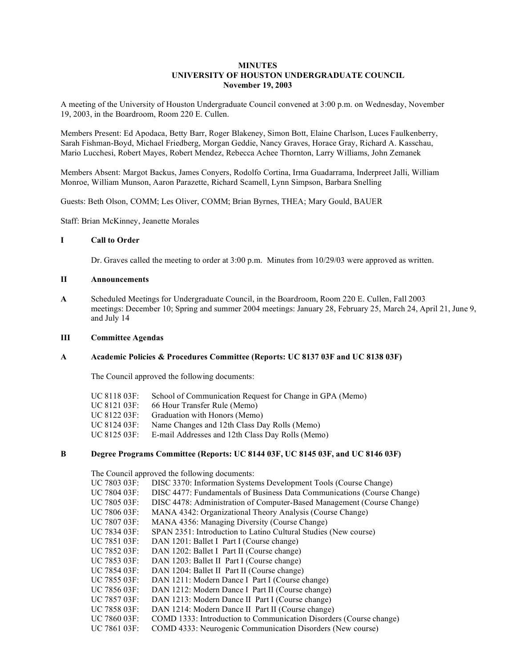# **MINUTES UNIVERSITY OF HOUSTON UNDERGRADUATE COUNCIL November 19, 2003**

A meeting of the University of Houston Undergraduate Council convened at 3:00 p.m. on Wednesday, November 19, 2003, in the Boardroom, Room 220 E. Cullen.

Members Present: Ed Apodaca, Betty Barr, Roger Blakeney, Simon Bott, Elaine Charlson, Luces Faulkenberry, Sarah Fishman-Boyd, Michael Friedberg, Morgan Geddie, Nancy Graves, Horace Gray, Richard A. Kasschau, Mario Lucchesi, Robert Mayes, Robert Mendez, Rebecca Achee Thornton, Larry Williams, John Zemanek

Members Absent: Margot Backus, James Conyers, Rodolfo Cortina, Irma Guadarrama, Inderpreet Jalli, William Monroe, William Munson, Aaron Parazette, Richard Scamell, Lynn Simpson, Barbara Snelling

Guests: Beth Olson, COMM; Les Oliver, COMM; Brian Byrnes, THEA; Mary Gould, BAUER

Staff: Brian McKinney, Jeanette Morales

#### **I Call to Order**

Dr. Graves called the meeting to order at 3:00 p.m. Minutes from 10/29/03 were approved as written.

# **II Announcements**

**A** Scheduled Meetings for Undergraduate Council, in the Boardroom, Room 220 E. Cullen, Fall 2003 meetings: December 10; Spring and summer 2004 meetings: January 28, February 25, March 24, April 21, June 9, and July 14

#### **III Committee Agendas**

# **A Academic Policies & Procedures Committee (Reports: UC 8137 03F and UC 8138 03F)**

The Council approved the following documents:

| UC 8118 03F: | School of Communication Request for Change in GPA (Memo) |
|--------------|----------------------------------------------------------|
| UC 8121 03F: | 66 Hour Transfer Rule (Memo)                             |
| UC 8122 03F: | Graduation with Honors (Memo)                            |
| UC 8124 03F: | Name Changes and 12th Class Day Rolls (Memo)             |
| UC 8125 03F: | E-mail Addresses and 12th Class Day Rolls (Memo)         |

# **B Degree Programs Committee (Reports: UC 8144 03F, UC 8145 03F, and UC 8146 03F)**

The Council approved the following documents:

| UC 7803 03F:  | DISC 3370: Information Systems Development Tools (Course Change)        |
|---------------|-------------------------------------------------------------------------|
| UC 7804 03F:  | DISC 4477: Fundamentals of Business Data Communications (Course Change) |
| UC 7805 03F:  | DISC 4478: Administration of Computer-Based Management (Course Change)  |
| UC 7806 03F:  | MANA 4342: Organizational Theory Analysis (Course Change)               |
| UC 7807 03F:  | MANA 4356: Managing Diversity (Course Change)                           |
| UC 7834 03F:  | SPAN 2351: Introduction to Latino Cultural Studies (New course)         |
| UC 7851 03F:  | DAN 1201: Ballet I Part I (Course change)                               |
| UC 7852 03F:  | DAN 1202: Ballet I Part II (Course change)                              |
| UC 7853 03F:  | DAN 1203: Ballet II Part I (Course change)                              |
| UC 7854 03F:- | DAN 1204: Ballet II Part II (Course change)                             |
| UC 7855 03F:  | DAN 1211: Modern Dance I Part I (Course change)                         |
| UC 7856 03F:  | DAN 1212: Modern Dance I Part II (Course change)                        |
| UC 7857 03F:  | DAN 1213: Modern Dance II Part I (Course change)                        |
| UC 7858 03F:  | DAN 1214: Modern Dance II Part II (Course change)                       |
| UC 7860 03F:  | COMD 1333: Introduction to Communication Disorders (Course change)      |
| UC 7861 03F:  | COMD 4333: Neurogenic Communication Disorders (New course)              |
|               |                                                                         |